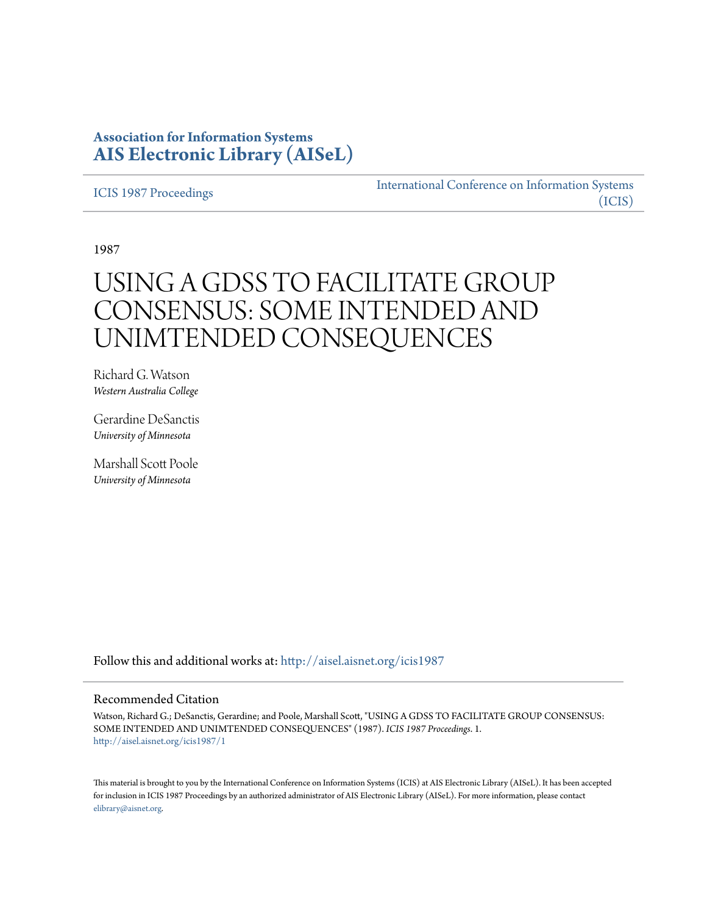# **Association for Information Systems [AIS Electronic Library \(AISeL\)](http://aisel.aisnet.org?utm_source=aisel.aisnet.org%2Ficis1987%2F1&utm_medium=PDF&utm_campaign=PDFCoverPages)**

[ICIS 1987 Proceedings](http://aisel.aisnet.org/icis1987?utm_source=aisel.aisnet.org%2Ficis1987%2F1&utm_medium=PDF&utm_campaign=PDFCoverPages)

[International Conference on Information Systems](http://aisel.aisnet.org/icis?utm_source=aisel.aisnet.org%2Ficis1987%2F1&utm_medium=PDF&utm_campaign=PDFCoverPages) [\(ICIS\)](http://aisel.aisnet.org/icis?utm_source=aisel.aisnet.org%2Ficis1987%2F1&utm_medium=PDF&utm_campaign=PDFCoverPages)

1987

# USING A GDSS TO FACILITATE GROUP CONSENSUS: SOME INTENDED AND UNIMTENDED CONSEQUENCES

Richard G. Watson *Western Australia College*

Gerardine DeSanctis *University of Minnesota*

Marshall Scott Poole *University of Minnesota*

Follow this and additional works at: [http://aisel.aisnet.org/icis1987](http://aisel.aisnet.org/icis1987?utm_source=aisel.aisnet.org%2Ficis1987%2F1&utm_medium=PDF&utm_campaign=PDFCoverPages)

#### Recommended Citation

Watson, Richard G.; DeSanctis, Gerardine; and Poole, Marshall Scott, "USING A GDSS TO FACILITATE GROUP CONSENSUS: SOME INTENDED AND UNIMTENDED CONSEQUENCES" (1987). *ICIS 1987 Proceedings*. 1. [http://aisel.aisnet.org/icis1987/1](http://aisel.aisnet.org/icis1987/1?utm_source=aisel.aisnet.org%2Ficis1987%2F1&utm_medium=PDF&utm_campaign=PDFCoverPages)

This material is brought to you by the International Conference on Information Systems (ICIS) at AIS Electronic Library (AISeL). It has been accepted for inclusion in ICIS 1987 Proceedings by an authorized administrator of AIS Electronic Library (AISeL). For more information, please contact [elibrary@aisnet.org.](mailto:elibrary@aisnet.org%3E)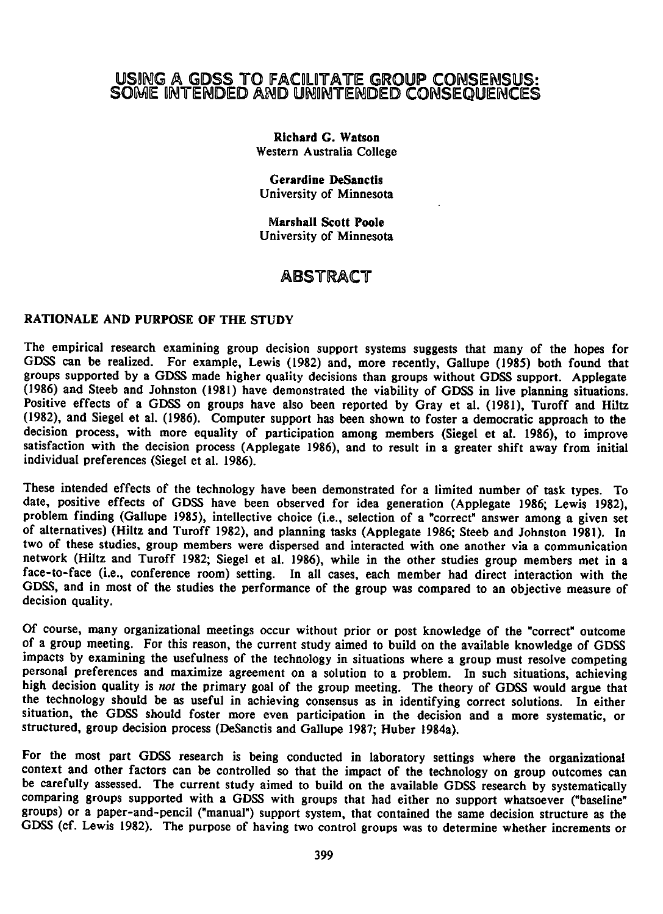## USING A GDSS TO FACILITATE GROUP CONSENSUS: SOME INTENDED AND UNIMTENDED CONSEQUENCES

Richard G. Watson Western Australia College

Gerardine DeSanctis University of Minnesota

Marshall Scott Poole University of Minnesota

## ABSTRACT

## RATIONALE AND PURPOSE OF THE STUDY

The empirical research examining group decision support systems suggests that many of the hopes for GDSS can be realized. For example, Lewis (1982) and, more recently, Gallupe (1985) both found that groups supported by a GDSS made higher quality decisions than groups without GDSS support. Applegate (1986) and Steeb and Johnston (1981) have demonstrated the viability of GDSS in live planning situations. Positive effects of <sup>a</sup> GDSS on groups have also been reported by Gray et al. (1981), Turoff and Hiltz (1982), and Siegel et al. (1986). Computer support has been shown to foster a democratic approach to the decision process, with more equality of participation among members (Siegel et at. 1986), to improve satisfaction with the decision process (Applegate 1986), and to result in a greater shift away from initial individual preferences (Siegel et al. 1986).

These intended effects of the technology have been demonstrated for a limited number of task types. To date, positive effects of GDSS have been observed for idea generation (Applegate 1986; Lewis 1982), problem finding (Gallupe 1985), intellective choice (i.e., selection of <sup>a</sup> "correct" answer among a given set of alternatives) (Hiltz and Turoff 1982), and planning tasks (Applegate 1986; Steeb and Johnston 1981). In two of these studies, group members were dispersed and interacted with one another via <sup>a</sup> communication network (Hiltz and Turoff 1982; Siegel et al. 1986), while in the other studies group members met in <sup>a</sup> face-to-face (i.e., conference room) setting. In all cases, each member had direct interaction with the GDSS, and in most of the studies the performance of the group was compared to an objective measure of decision quality.

Of course, many organizational meetings occur without prior or post knowledge of the "correct" outcome of <sup>a</sup> group meeting. For this reason, the current study aimed to build on the available knowledge of GDSS impacts by examining the usefulness of the technology in situations where <sup>a</sup> group must resolve competing personal preferences and maximize agreement on a solution to a problem. In such situations, achieving high decision quality is not the primary goal of the group meeting. The theory of GDSS would argue that the technology should be as useful in achieving consensus as in identifying correct solutions. In either situation, the GDSS should foster more even participation in the decision and a more systematic, or structured, group decision process (DeSanctis and Gallupe 1987; Huber 1984a).

For the most part GDSS research is being conducted in laboratory settings where the organizational context and other factors can be controlled so that the impact of the technology on group outcomes can be carefully assessed. The current study aimed to build on the available GDSS research by systematically comparing groups supported with a GDSS with groups that had either no support whatsoever ("baseline" groups) or a paper-and-pencil ("manual") support system, that contained the same decision structure as the GDSS (cf. Lewis 1982). The purpose of having two control groups was to determine whether increments or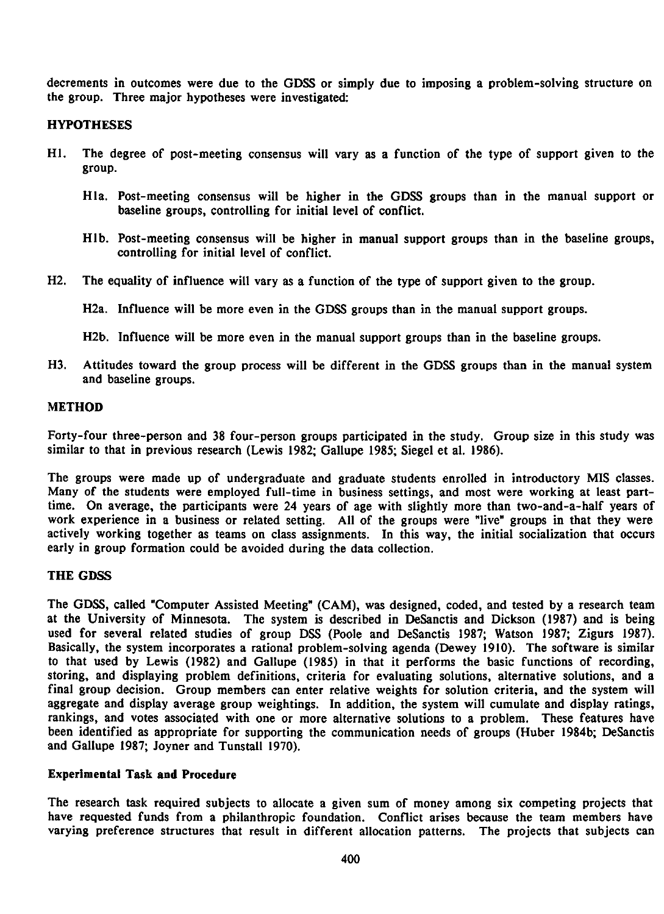decrements in outcomes were due to the GDSS or simply due to imposing a problem-solving structure on the group. Three major hypotheses were investigated:

### **HYPOTHESES**

- Hl. The degree of post-meeting consensus will vary as <sup>a</sup> function of the type of support given to the group.
	- Hla. Post-meeting consensus will be higher in the GDSS groups than in the manual support or baseline groups, controlling for initial level of conflict.
	- Hlb. Post-meeting consensus will be higher in manual support groups than in the baseline groups, controlling for initial level of conflict.
- H2. The equality of influence will vary as a function of the type of support given to the group.
	- H2a. Influence will be more even in the GDSS groups than in the manual support groups.
	- H2b. Influence will be more even in the manual support groups than in the baseline groups.
- H3. Attitudes toward the group process will be different in the GDSS groups than in the manual system and baseline groups.

#### METHOD

Forty-four three-person and 38 four-person groups participated in the study. Group size in this study was similar to that in previous research (Lewis 1982; Gallupe 1985; Siegel et al. 1986).

The groups were made up of undergraduate and graduate students enrolled in introductory MIS classes. Many of the students were employed full-time in business settings, and most were working at least parttime. On average, the participants were 24 years of age with slightly more than two-and-a-half years of work experience in <sup>a</sup> business or related setting. All of the groups were "live" groups in that they were actively working together as teams on class assignments. In this way, the initial socialization that occurs early in group formation could be avoided during the data collection.

#### THE GDSS

The GDSS, called "Computer Assisted Meeting" (CAM), was designed, coded, and tested by a research team at the University of Minnesota. The system is described in DeSanctis and Dickson (1987) and is being used for several related studies of group DSS (Poole and DeSanctis 1987; Watson 1987; Zigurs 1987). Basically, the system incorporates a rational problem-solving agenda (Dewey 1910). The software is similar to that used by Lewis (1982) and Gallupe (1985) in that it performs the basic functions of recording, storing, and displaying problem definitions, criteria for evaluating solutions, alternative solutions, and <sup>a</sup> final group decision. Group members can enter relative weights for solution criteria, and the system will aggregate and display average group weightings. In addition, the system will cumulate and display ratings, rankings, and votes associated with one or more alternative solutions to a problem. These features have been identified as appropriate for supporting the communication needs of groups (Huber 1984b; DeSanctis and Gallupe 1987; Joyner and Tunstall 1970).

### Experimental Task and Procedure

The research task required subjects to allocate <sup>a</sup> given sum of money among six competing projects that have requested funds from a philanthropic foundation. Conflict arises because the team members have varying preference structures that result in different allocation patterns. The projects that subjects can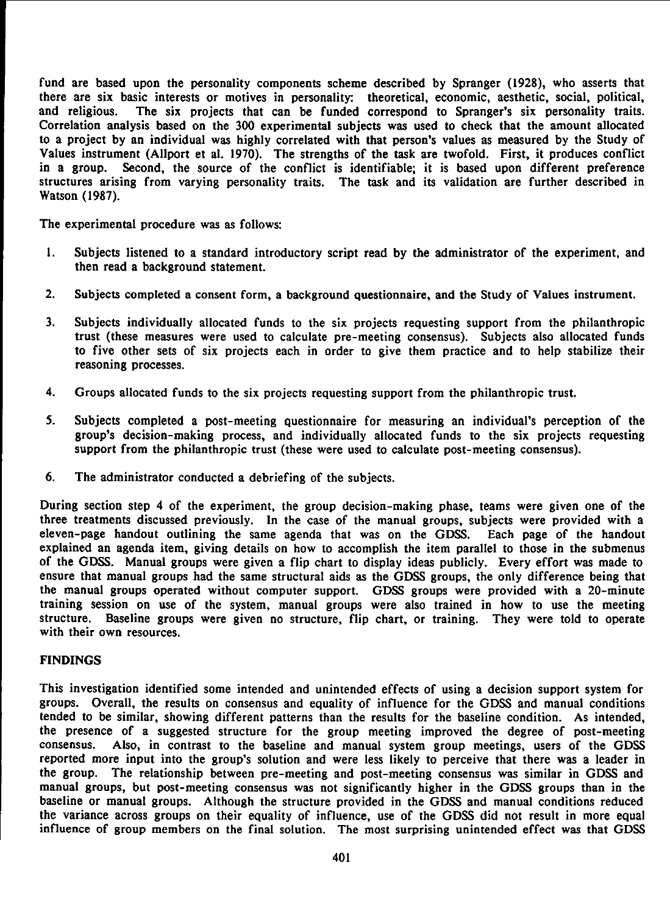fund are based upon the personality components scheme described by Spranger (1928), who asserts that there are six basic interests or motives in personality: theoretical, economic, aesthetic, social, political, and religious. The six projects that can be funded correspond to Spranger's six personality traits. Correlation analysis based on the 300 experimental subjects was used to check that the amount allocated to <sup>a</sup> project by an individual was highly correlated with that person's values as measured by the Study of Values instrument (Allport et al. 1970). The strengths of the task are twofold. First, it produces conflict in a group. Second, the source of the conflict is identifiable; it is based upon different preference structures arising from varying personality traits. The task and its validation are further described in Watson (1987).

The experimental procedure was as follows:

- 1. Subjects listened to <sup>a</sup> standard introductory script read by the administrator of the experiment, and then read a background statement.
- 2. Subjects completed a consent form, a background questionnaire, and the Study of Values instrument.
- 3. Subjects individually allocated funds to the six projects requesting support from the philanthropic trust (these measures were used to calculate pre-meeting consensus). Subjects also allocated funds to five other sets of six projects each in order to give them practice and to help stabilize their reasoning processes.
- 4. Groups allocated funds to the six projects requesting support from the philanthropic trust.
- 5. Subjects completed <sup>a</sup> post-meeting questionnaire for measuring an individual's perception of the group's decision-making process, and individually allocated funds to the six projects requesting support from the philanthropic trust (these were used to calculate post-meeting consensus).
- 6. The administrator conducted a debriefing of the subjects.

During section step 4 of the experiment, the group decision-making phase, teams were given one of the three treatments discussed previously. In the case of the manual groups, subjects were provided with a eleven-page handout outlining the same agenda that was on the GDSS. Each page of the handout explained an agenda item, giving details on how to accomplish the item parallel to those in the submenus of the GDSS. Manual groups were given a flip chart to display ideas publicly. Every effort was made to ensure that manual groups had the same structural aids as the GDSS groups, the only difference being that the manual groups operated without computer support. GDSS groups were provided with a 20-minute training session on use of the system, manual groups were also trained in how to use the meeting structure. Baseline groups were given no structure, flip chart, or training. They were told to operate with their own resources.

#### FINDINGS

This investigation identified some intended and unintended effects of using a decision support system for groups. Overall, the results on consensus and equality of influence for the GDSS and manual conditions tended to be similar, showing different patterns than the results for the baseline condition. As intended, the presence of a suggested structure for the group meeting improved the degree of post-meeting consensus. Also, in contrast to the baseline and manual system group meetings, users of the GDSS reported more input into the group's solution and were less likely to perceive that there was a leader in the group. The relationship between pre-meeting and post-meeting consensus was similar in GDSS and manual groups, but post-meeting consensus was not significantly higher in the GDSS groups than in the baseline or manual groups. Although the structure provided in the GDSS and manual conditions reduced the variance across groups on their equality of influence, use of the GDSS did not result in more equal influence of group members on the final solution. The most surprising unintended effect was that GDSS